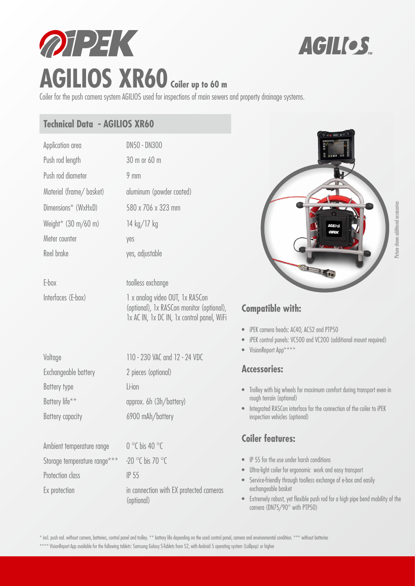



# Coiler for the push camera system AGILIOS used for inspections of main sewers and property drainage systems.

#### **Technical Data - AGILIOS XR60**

| Application area                      | DN50 - DN300             |
|---------------------------------------|--------------------------|
| Push rod length                       | 30 m or 60 m             |
| Push rod diameter                     | $9 \text{ mm}$           |
| Material (frame/basket)               | aluminum (powder coated) |
| Dimensions* (WxHxD)                   | 580 x 706 x 323 mm       |
| Weight* $(30 \text{ m}/60 \text{ m})$ | 14 kg/17 kg              |
| Meter counter                         | yes                      |
| Reel brake                            | yes, adjustable          |
|                                       |                          |

E-box toolless exchange

Interfaces (E-box) 1 x analog video OUT, 1x RASCon (optional), 1x RASCon monitor (optional), 1x AC IN, 1x DC IN, 1x control panel, WiFi

| Voltage                   | 110 - 230 VAC and 12 - 24 VDC     |
|---------------------------|-----------------------------------|
| Exchangeable battery      | 2 pieces (optional)               |
| Battery type              | Li-ion                            |
| Battery life**            | approx. 6h (3h/battery)           |
| <b>Battery capacity</b>   | 6900 mAh/battery                  |
|                           |                                   |
| Ambient temperature range | $0^{\circ}$ C bis 40 $^{\circ}$ C |
|                           |                                   |

Storage temperature range\*\*\* -20 °C bis 70 °C Protection class IP 55

Ex protection in connection with EX protected cameras (optional)



# **Compatible with:**

- iPEK camera heads: AC40, AC52 and PTP50
- iPEK control panels: VC500 and VC200 (additional mount required)
- VisionReport App\*\*

#### **Accessories:**

- Trolley with big wheels for maximum comfort during transport even in rough terrain (optional)
- Integrated RASCon interface for the connection of the coiler to iPEK inspection vehicles (optional)

## **Coiler features:**

- IP 55 for the use under harsh conditions
- Ultra-light coiler for ergonomic work and easy transport
- Service-friendly through toolless exchange of e-box and easily exchangeable basket
- Extremely robust, yet flexible push rod for a high pipe bend mobility of the camera (DN75/90° with PTP50)

\* incl. push rod. without camera, batteries, control panel and trolley. \*\* battery life depending on the used control panel, camera and environmental condition. \*\*\* without batteries

\*\*\*\* VisionReport App available for the following tablets: Samsung Galaxy S-Tablets from S2, with Android 5 operating system (Lollipop) or higher